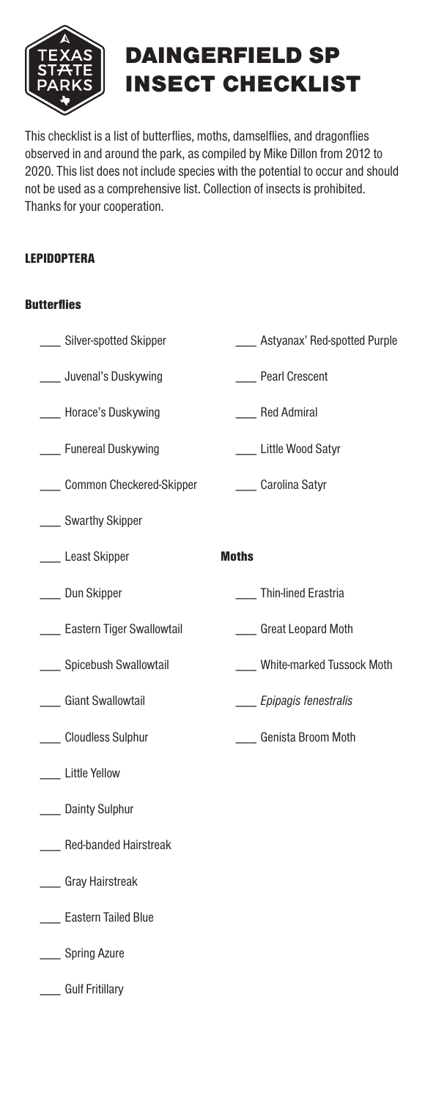

## DAINGERFIELD SP INSECT CHECKLIST

This checklist is a list of butterfies, moths, damselfies, and dragonfies observed in and around the park, as compiled by Mike Dillon from 2012 to 2020. This list does not include species with the potential to occur and should not be used as a comprehensive list. Collection of insects is prohibited. Thanks for your cooperation.

## LEPIDOPTERA

## **Butterflies**

\_\_\_ Silver-spotted Skipper \_\_\_ **\_\_\_\_** Astyanax' Red-spotted Purple

\_\_\_ Thin-lined Erastria

\_\_\_ \_\_\_ *Epipagis fenestralis* 

\_\_\_ \_\_\_ Genista Broom Moth

\_\_\_ \_\_\_ White-marked Tussock Moth

- Juvenal's Duskywing \_\_\_ \_\_\_ Pearl Crescent
- Horace's Duskywing \_\_\_ \_\_\_ Red Admiral
- Funereal Duskywing \_\_\_ \_\_\_ Little Wood Satyr
- Common Checkered-Skipper \_\_\_ \_\_\_ Carolina Satyr
- \_\_\_ Swarthy Skipper
- \_\_\_ Least Skipper **moths**
- \_\_\_ Dun Skipper
- \_\_\_ Eastern Tiger Swallowtail \_\_\_\_\_\_\_\_\_\_\_ Great Leopard Moth
- Spicebush Swallowtail
- **Cant Swallowtail**
- \_\_\_\_ Cloudless Sulphur
- \_\_\_ Little Yellow
- \_\_\_ Dainty Sulphur
- Red-banded Hairstreak \_\_\_
- Gray Hairstreak \_\_\_
- \_\_\_ Eastern Tailed Blue
- \_\_\_ Spring Azure
- \_\_\_ Gulf Fritillary